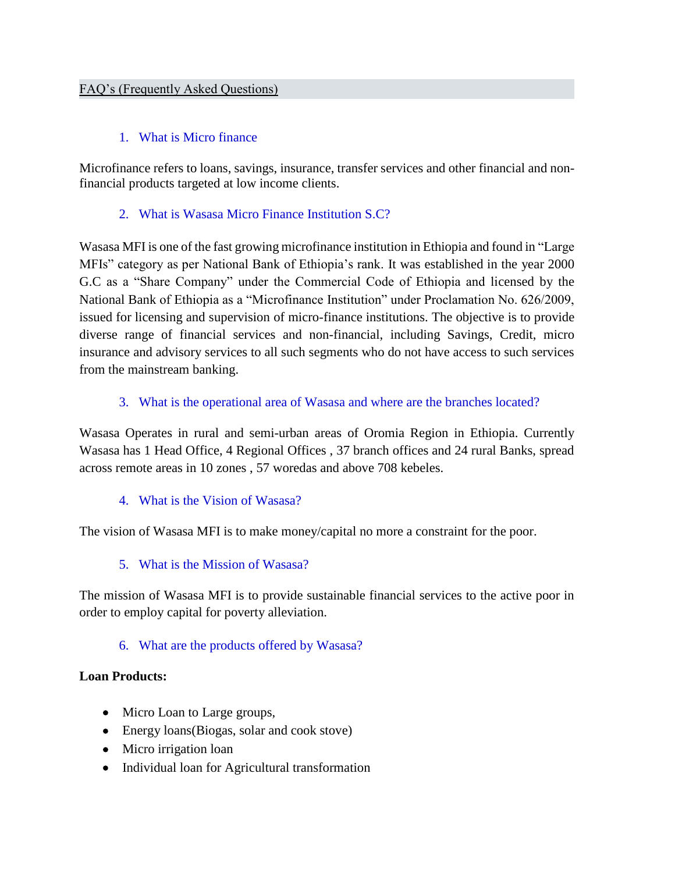## 1. What is Micro finance

Microfinance refers to loans, savings, insurance, transfer services and other financial and nonfinancial products targeted at low income clients.

## 2. What is Wasasa Micro Finance Institution S.C?

Wasasa MFI is one of the fast growing microfinance institution in Ethiopia and found in "Large MFIs" category as per National Bank of Ethiopia's rank. It was established in the year 2000 G.C as a "Share Company" under the Commercial Code of Ethiopia and licensed by the National Bank of Ethiopia as a "Microfinance Institution" under Proclamation No. 626/2009, issued for licensing and supervision of micro-finance institutions. The objective is to provide diverse range of financial services and non-financial, including Savings, Credit, micro insurance and advisory services to all such segments who do not have access to such services from the mainstream banking.

## 3. What is the operational area of Wasasa and where are the branches located?

Wasasa Operates in rural and semi-urban areas of Oromia Region in Ethiopia. Currently Wasasa has 1 Head Office, 4 Regional Offices , 37 branch offices and 24 rural Banks, spread across remote areas in 10 zones , 57 woredas and above 708 kebeles.

### 4. What is the Vision of Wasasa?

The vision of Wasasa MFI is to make money/capital no more a constraint for the poor.

# 5. What is the Mission of Wasasa?

The mission of Wasasa MFI is to provide sustainable financial services to the active poor in order to employ capital for poverty alleviation.

# 6. What are the products offered by Wasasa?

### **Loan Products:**

- Micro Loan to Large groups,
- Energy loans (Biogas, solar and cook stove)
- Micro irrigation loan
- Individual loan for Agricultural transformation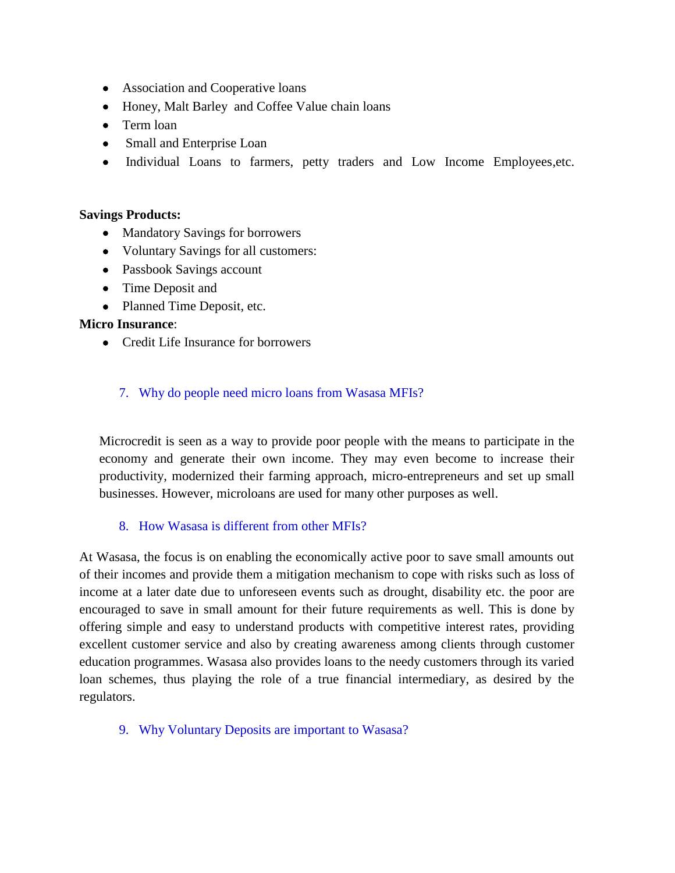- Association and Cooperative loans
- Honey, Malt Barley and Coffee Value chain loans
- Term loan
- Small and Enterprise Loan
- Individual Loans to farmers, petty traders and Low Income Employees, etc.

#### **Savings Products:**

- Mandatory Savings for borrowers
- Voluntary Savings for all customers:
- Passbook Savings account
- Time Deposit and
- Planned Time Deposit, etc.

### **Micro Insurance**:

• Credit Life Insurance for borrowers

### 7. Why do people need micro loans from Wasasa MFIs?

Microcredit is seen as a way to provide poor people with the means to participate in the economy and generate their own income. They may even become to increase their productivity, modernized their farming approach, micro-entrepreneurs and set up small businesses. However, microloans are used for many other purposes as well.

### 8. How Wasasa is different from other MFIs?

At Wasasa, the focus is on enabling the economically active poor to save small amounts out of their incomes and provide them a mitigation mechanism to cope with risks such as loss of income at a later date due to unforeseen events such as drought, disability etc. the poor are encouraged to save in small amount for their future requirements as well. This is done by offering simple and easy to understand products with competitive interest rates, providing excellent customer service and also by creating awareness among clients through customer education programmes. Wasasa also provides loans to the needy customers through its varied loan schemes, thus playing the role of a true financial intermediary, as desired by the regulators.

9. Why Voluntary Deposits are important to Wasasa?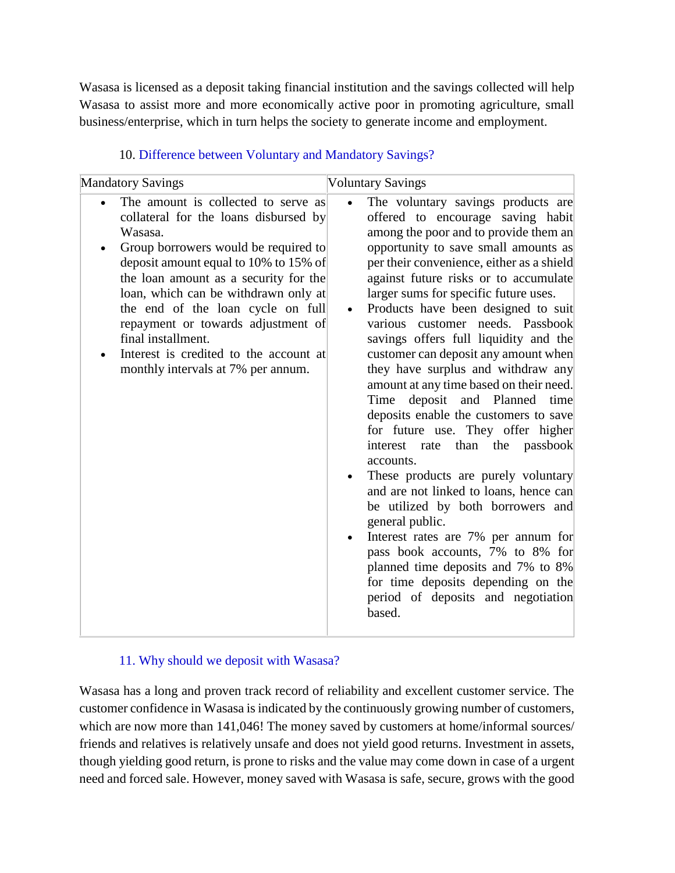Wasasa is licensed as a deposit taking financial institution and the savings collected will help Wasasa to assist more and more economically active poor in promoting agriculture, small business/enterprise, which in turn helps the society to generate income and employment.

| <b>Mandatory Savings</b>                                                                                                                                                                                                                                                                                                                                                                                                                   | <b>Voluntary Savings</b>                                                                                                                                                                                                                                                                                                                                                                                                                                                                                                                                                                                                                                                                                                                                                                                                                                                                                                                                                                                                                                               |
|--------------------------------------------------------------------------------------------------------------------------------------------------------------------------------------------------------------------------------------------------------------------------------------------------------------------------------------------------------------------------------------------------------------------------------------------|------------------------------------------------------------------------------------------------------------------------------------------------------------------------------------------------------------------------------------------------------------------------------------------------------------------------------------------------------------------------------------------------------------------------------------------------------------------------------------------------------------------------------------------------------------------------------------------------------------------------------------------------------------------------------------------------------------------------------------------------------------------------------------------------------------------------------------------------------------------------------------------------------------------------------------------------------------------------------------------------------------------------------------------------------------------------|
| The amount is collected to serve as<br>collateral for the loans disbursed by<br>Wasasa.<br>Group borrowers would be required to<br>deposit amount equal to 10% to 15% of<br>the loan amount as a security for the<br>loan, which can be withdrawn only at<br>the end of the loan cycle on full<br>repayment or towards adjustment of<br>final installment.<br>Interest is credited to the account at<br>monthly intervals at 7% per annum. | The voluntary savings products are<br>offered to encourage saving habit<br>among the poor and to provide them an<br>opportunity to save small amounts as<br>per their convenience, either as a shield<br>against future risks or to accumulate<br>larger sums for specific future uses.<br>Products have been designed to suit<br>$\bullet$<br>various customer needs. Passbook<br>savings offers full liquidity and the<br>customer can deposit any amount when<br>they have surplus and withdraw any<br>amount at any time based on their need.<br>Time<br>deposit and Planned<br>time<br>deposits enable the customers to save<br>for future use. They offer higher<br>interest rate than the passbook<br>accounts.<br>These products are purely voluntary<br>and are not linked to loans, hence can<br>be utilized by both borrowers and<br>general public.<br>Interest rates are 7% per annum for<br>pass book accounts, 7% to 8% for<br>planned time deposits and 7% to 8%<br>for time deposits depending on the<br>period of deposits and negotiation<br>based. |

# 10. Difference between Voluntary and Mandatory Savings?

# 11. Why should we deposit with Wasasa?

Wasasa has a long and proven track record of reliability and excellent customer service. The customer confidence in Wasasa is indicated by the continuously growing number of customers, which are now more than 141,046! The money saved by customers at home/informal sources/ friends and relatives is relatively unsafe and does not yield good returns. Investment in assets, though yielding good return, is prone to risks and the value may come down in case of a urgent need and forced sale. However, money saved with Wasasa is safe, secure, grows with the good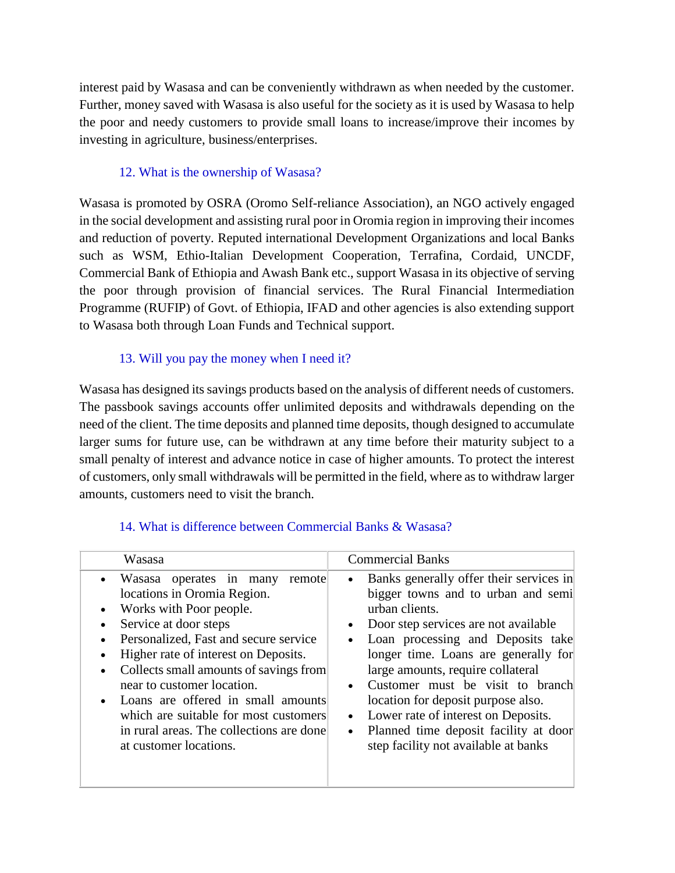interest paid by Wasasa and can be conveniently withdrawn as when needed by the customer. Further, money saved with Wasasa is also useful for the society as it is used by Wasasa to help the poor and needy customers to provide small loans to increase/improve their incomes by investing in agriculture, business/enterprises.

# 12. What is the ownership of Wasasa?

Wasasa is promoted by OSRA (Oromo Self-reliance Association), an NGO actively engaged in the social development and assisting rural poor in Oromia region in improving their incomes and reduction of poverty. Reputed international Development Organizations and local Banks such as WSM, Ethio-Italian Development Cooperation, Terrafina, Cordaid, UNCDF, Commercial Bank of Ethiopia and Awash Bank etc., support Wasasa in its objective of serving the poor through provision of financial services. The Rural Financial Intermediation Programme (RUFIP) of Govt. of Ethiopia, IFAD and other agencies is also extending support to Wasasa both through Loan Funds and Technical support.

# 13. Will you pay the money when I need it?

Wasasa has designed its savings products based on the analysis of different needs of customers. The passbook savings accounts offer unlimited deposits and withdrawals depending on the need of the client. The time deposits and planned time deposits, though designed to accumulate larger sums for future use, can be withdrawn at any time before their maturity subject to a small penalty of interest and advance notice in case of higher amounts. To protect the interest of customers, only small withdrawals will be permitted in the field, where as to withdraw larger amounts, customers need to visit the branch.

| <b>Commercial Banks</b><br>Wasasa<br>Banks generally offer their services in<br>• Wasasa operates in many<br>remote<br>$\bullet$<br>locations in Oromia Region.<br>bigger towns and to urban and semi<br>urban clients.<br>Works with Poor people.<br>Service at door steps<br>Door step services are not available<br>$\bullet$<br>$\bullet$<br>Personalized, Fast and secure service<br>Loan processing and Deposits take<br>$\bullet$<br>longer time. Loans are generally for<br>Higher rate of interest on Deposits.<br>Collects small amounts of savings from<br>large amounts, require collateral<br>Customer must be visit to branch<br>near to customer location.<br>$\bullet$<br>Loans are offered in small amounts<br>location for deposit purpose also.<br>Lower rate of interest on Deposits.<br>which are suitable for most customers<br>$\bullet$<br>in rural areas. The collections are done<br>Planned time deposit facility at door<br>$\bullet$<br>step facility not available at banks<br>at customer locations. |  |
|-------------------------------------------------------------------------------------------------------------------------------------------------------------------------------------------------------------------------------------------------------------------------------------------------------------------------------------------------------------------------------------------------------------------------------------------------------------------------------------------------------------------------------------------------------------------------------------------------------------------------------------------------------------------------------------------------------------------------------------------------------------------------------------------------------------------------------------------------------------------------------------------------------------------------------------------------------------------------------------------------------------------------------------|--|
|                                                                                                                                                                                                                                                                                                                                                                                                                                                                                                                                                                                                                                                                                                                                                                                                                                                                                                                                                                                                                                     |  |
|                                                                                                                                                                                                                                                                                                                                                                                                                                                                                                                                                                                                                                                                                                                                                                                                                                                                                                                                                                                                                                     |  |

# 14. What is difference between Commercial Banks & Wasasa?